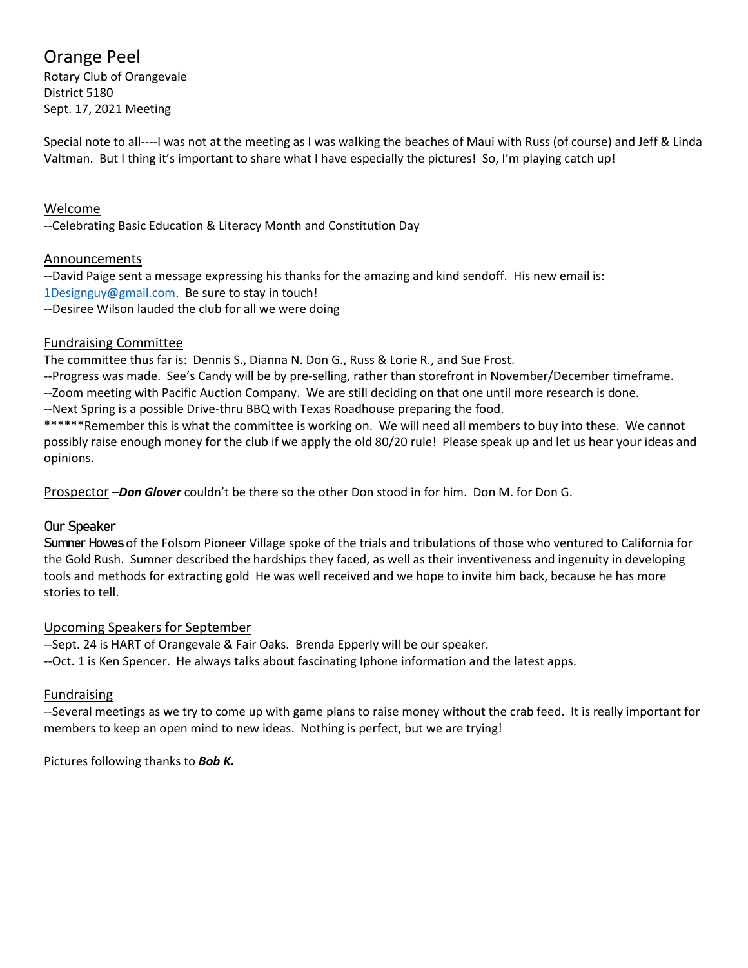# Orange Peel

Rotary Club of Orangevale District 5180 Sept. 17, 2021 Meeting

Special note to all----I was not at the meeting as I was walking the beaches of Maui with Russ (of course) and Jeff & Linda Valtman. But I thing it's important to share what I have especially the pictures! So, I'm playing catch up!

### Welcome

--Celebrating Basic Education & Literacy Month and Constitution Day

### **Announcements**

--David Paige sent a message expressing his thanks for the amazing and kind sendoff. His new email is: [1Designguy@gmail.com.](mailto:1Designguy@gmail.com) Be sure to stay in touch!

--Desiree Wilson lauded the club for all we were doing

### Fundraising Committee

The committee thus far is: Dennis S., Dianna N. Don G., Russ & Lorie R., and Sue Frost.

--Progress was made. See's Candy will be by pre-selling, rather than storefront in November/December timeframe.

--Zoom meeting with Pacific Auction Company. We are still deciding on that one until more research is done.

--Next Spring is a possible Drive-thru BBQ with Texas Roadhouse preparing the food.

\*\*\*\*\*\*Remember this is what the committee is working on. We will need all members to buy into these. We cannot possibly raise enough money for the club if we apply the old 80/20 rule! Please speak up and let us hear your ideas and opinions.

Prospector –*Don Glover* couldn't be there so the other Don stood in for him. Don M. for Don G.

## Our Speaker

Sumner Howes of the Folsom Pioneer Village spoke of the trials and tribulations of those who ventured to California for the Gold Rush. Sumner described the hardships they faced, as well as their inventiveness and ingenuity in developing tools and methods for extracting gold He was well received and we hope to invite him back, because he has more stories to tell.

### Upcoming Speakers for September

--Sept. 24 is HART of Orangevale & Fair Oaks. Brenda Epperly will be our speaker. --Oct. 1 is Ken Spencer. He always talks about fascinating Iphone information and the latest apps.

### Fundraising

--Several meetings as we try to come up with game plans to raise money without the crab feed. It is really important for members to keep an open mind to new ideas. Nothing is perfect, but we are trying!

Pictures following thanks to *Bob K.*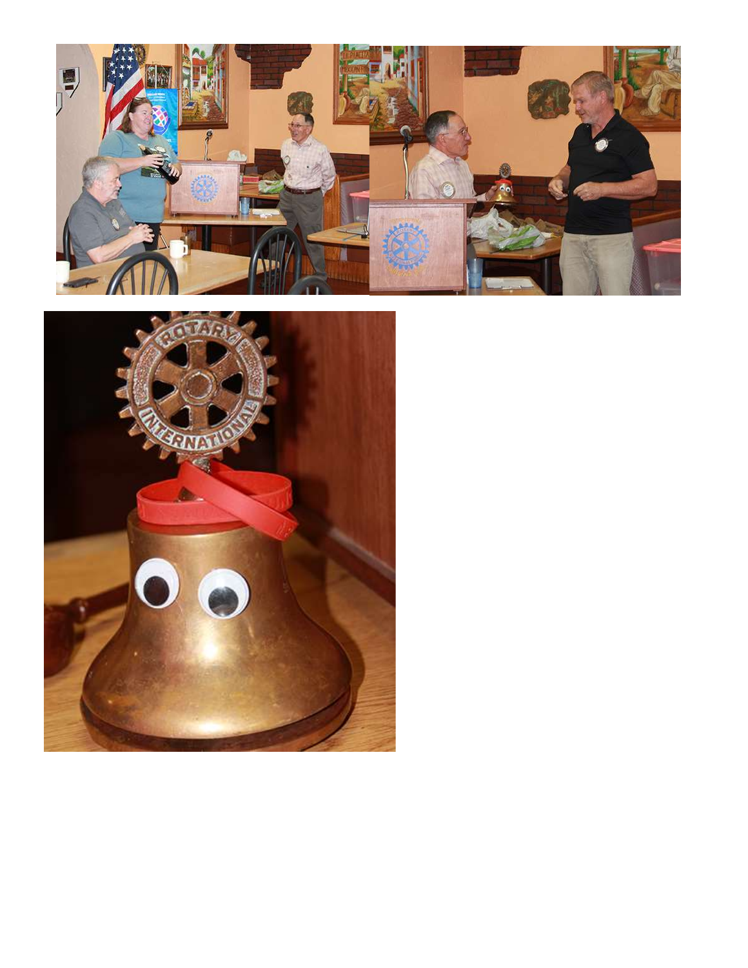